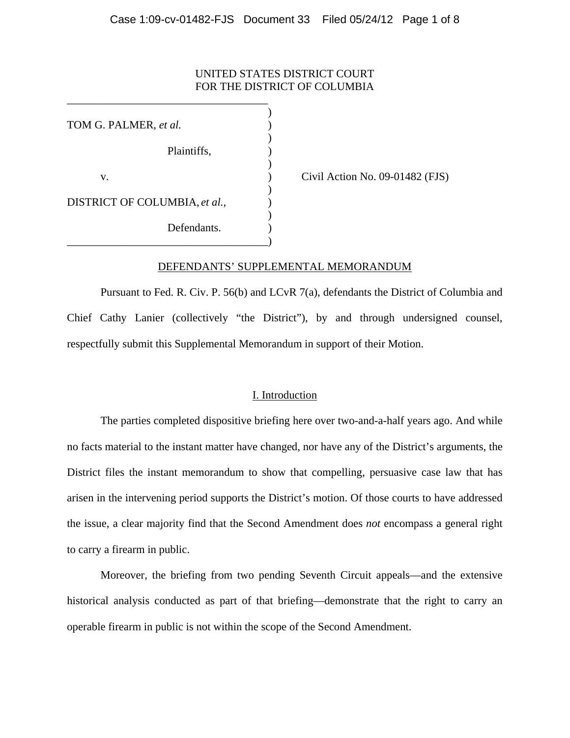# UNITED STATES DISTRICT COURT FOR THE DISTRICT OF COLUMBIA

 $)$ TOM G. PALMER, *et al.* )  $\overline{\phantom{a}}$ Plaintiffs, )  $\overline{\phantom{a}}$ v. (a) Civil Action No. 09-01482 (FJS)  $\overline{\phantom{a}}$ DISTRICT OF COLUMBIA, *et al.*,  $\qquad)$  $\overline{\phantom{a}}$ Defendants. \_\_\_\_\_\_\_\_\_\_\_\_\_\_\_\_\_\_\_\_\_\_\_\_\_\_\_\_\_\_\_\_\_\_\_\_)

\_\_\_\_\_\_\_\_\_\_\_\_\_\_\_\_\_\_\_\_\_\_\_\_\_\_\_\_\_\_\_\_\_\_\_\_

#### DEFENDANTS' SUPPLEMENTAL MEMORANDUM

Pursuant to Fed. R. Civ. P. 56(b) and LCvR 7(a), defendants the District of Columbia and Chief Cathy Lanier (collectively "the District"), by and through undersigned counsel, respectfully submit this Supplemental Memorandum in support of their Motion.

## I. Introduction

The parties completed dispositive briefing here over two-and-a-half years ago. And while no facts material to the instant matter have changed, nor have any of the District's arguments, the District files the instant memorandum to show that compelling, persuasive case law that has arisen in the intervening period supports the District's motion. Of those courts to have addressed the issue, a clear majority find that the Second Amendment does *not* encompass a general right to carry a firearm in public.

Moreover, the briefing from two pending Seventh Circuit appeals—and the extensive historical analysis conducted as part of that briefing—demonstrate that the right to carry an operable firearm in public is not within the scope of the Second Amendment.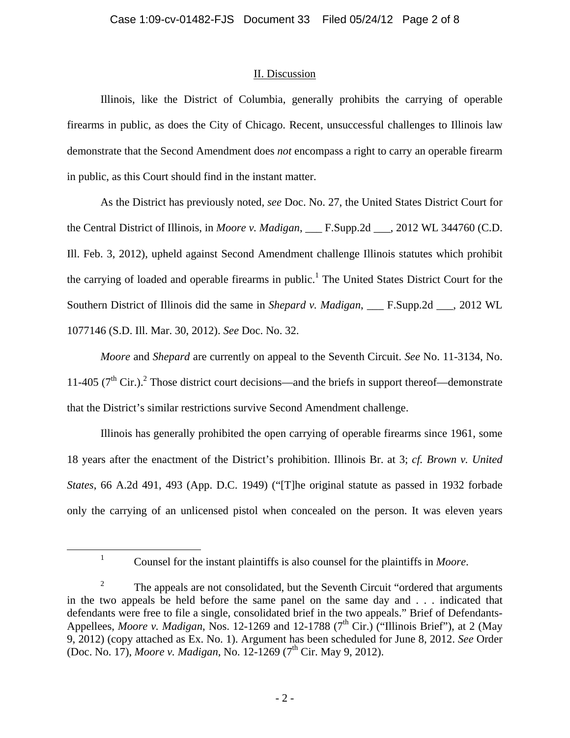# II. Discussion

Illinois, like the District of Columbia, generally prohibits the carrying of operable firearms in public, as does the City of Chicago. Recent, unsuccessful challenges to Illinois law demonstrate that the Second Amendment does *not* encompass a right to carry an operable firearm in public, as this Court should find in the instant matter.

As the District has previously noted, *see* Doc. No. 27, the United States District Court for the Central District of Illinois, in *Moore v. Madigan*, \_\_\_ F.Supp.2d \_\_\_, 2012 WL 344760 (C.D. Ill. Feb. 3, 2012), upheld against Second Amendment challenge Illinois statutes which prohibit the carrying of loaded and operable firearms in public.<sup>1</sup> The United States District Court for the Southern District of Illinois did the same in *Shepard v. Madigan*, \_\_\_ F.Supp.2d \_\_\_, 2012 WL 1077146 (S.D. Ill. Mar. 30, 2012). *See* Doc. No. 32.

*Moore* and *Shepard* are currently on appeal to the Seventh Circuit. *See* No. 11-3134, No. 11-405  $(7<sup>th</sup> Cir.)<sup>2</sup>$  Those district court decisions—and the briefs in support thereof—demonstrate that the District's similar restrictions survive Second Amendment challenge.

Illinois has generally prohibited the open carrying of operable firearms since 1961, some 18 years after the enactment of the District's prohibition. Illinois Br. at 3; *cf. Brown v. United States*, 66 A.2d 491, 493 (App. D.C. 1949) ("[T]he original statute as passed in 1932 forbade only the carrying of an unlicensed pistol when concealed on the person. It was eleven years

 $\frac{1}{1}$ 

<sup>&</sup>lt;sup>1</sup> Counsel for the instant plaintiffs is also counsel for the plaintiffs in *Moore*.

<sup>2</sup> The appeals are not consolidated, but the Seventh Circuit "ordered that arguments in the two appeals be held before the same panel on the same day and . . . indicated that defendants were free to file a single, consolidated brief in the two appeals." Brief of Defendants-Appellees, *Moore v. Madigan*, Nos. 12-1269 and 12-1788 ( $7<sup>th</sup>$  Cir.) ("Illinois Brief"), at 2 (May 9, 2012) (copy attached as Ex. No. 1). Argument has been scheduled for June 8, 2012. *See* Order (Doc. No. 17), *Moore v. Madigan*, No. 12-1269 (7<sup>th</sup> Cir. May 9, 2012).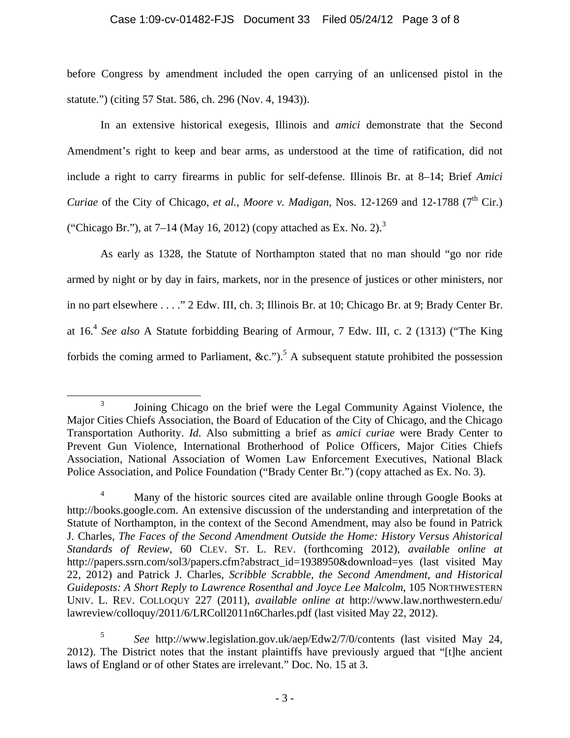# Case 1:09-cv-01482-FJS Document 33 Filed 05/24/12 Page 3 of 8

before Congress by amendment included the open carrying of an unlicensed pistol in the statute.") (citing 57 Stat. 586, ch. 296 (Nov. 4, 1943)).

In an extensive historical exegesis, Illinois and *amici* demonstrate that the Second Amendment's right to keep and bear arms, as understood at the time of ratification, did not include a right to carry firearms in public for self-defense. Illinois Br. at 8–14; Brief *Amici Curiae* of the City of Chicago, *et al., Moore v. Madigan*, Nos. 12-1269 and 12-1788 (7<sup>th</sup> Cir.) ("Chicago Br."), at  $7-14$  (May 16, 2012) (copy attached as Ex. No. 2).<sup>3</sup>

As early as 1328, the Statute of Northampton stated that no man should "go nor ride armed by night or by day in fairs, markets, nor in the presence of justices or other ministers, nor in no part elsewhere . . . ." 2 Edw. III, ch. 3; Illinois Br. at 10; Chicago Br. at 9; Brady Center Br. at 16.<sup>4</sup> *See also* A Statute forbidding Bearing of Armour, 7 Edw. III, c. 2 (1313) ("The King forbids the coming armed to Parliament, &c.").<sup>5</sup> A subsequent statute prohibited the possession

 $\frac{1}{3}$ <sup>3</sup> Joining Chicago on the brief were the Legal Community Against Violence, the Major Cities Chiefs Association, the Board of Education of the City of Chicago, and the Chicago Transportation Authority. *Id*. Also submitting a brief as *amici curiae* were Brady Center to Prevent Gun Violence, International Brotherhood of Police Officers, Major Cities Chiefs Association, National Association of Women Law Enforcement Executives, National Black Police Association, and Police Foundation ("Brady Center Br.") (copy attached as Ex. No. 3).

<sup>4</sup> Many of the historic sources cited are available online through Google Books at http://books.google.com. An extensive discussion of the understanding and interpretation of the Statute of Northampton, in the context of the Second Amendment, may also be found in Patrick J. Charles, *The Faces of the Second Amendment Outside the Home: History Versus Ahistorical Standards of Review*, 60 CLEV. ST. L. REV. (forthcoming 2012), *available online at* http://papers.ssrn.com/sol3/papers.cfm?abstract\_id=1938950&download=yes (last visited May 22, 2012) and Patrick J. Charles, *Scribble Scrabble, the Second Amendment, and Historical Guideposts: A Short Reply to Lawrence Rosenthal and Joyce Lee Malcolm*, 105 NORTHWESTERN UNIV. L. REV. COLLOQUY 227 (2011), *available online at* http://www.law.northwestern.edu/ lawreview/colloquy/2011/6/LRColl2011n6Charles.pdf (last visited May 22, 2012).

<sup>5</sup> *See* http://www.legislation.gov.uk/aep/Edw2/7/0/contents (last visited May 24, 2012). The District notes that the instant plaintiffs have previously argued that "[t]he ancient laws of England or of other States are irrelevant." Doc. No. 15 at 3.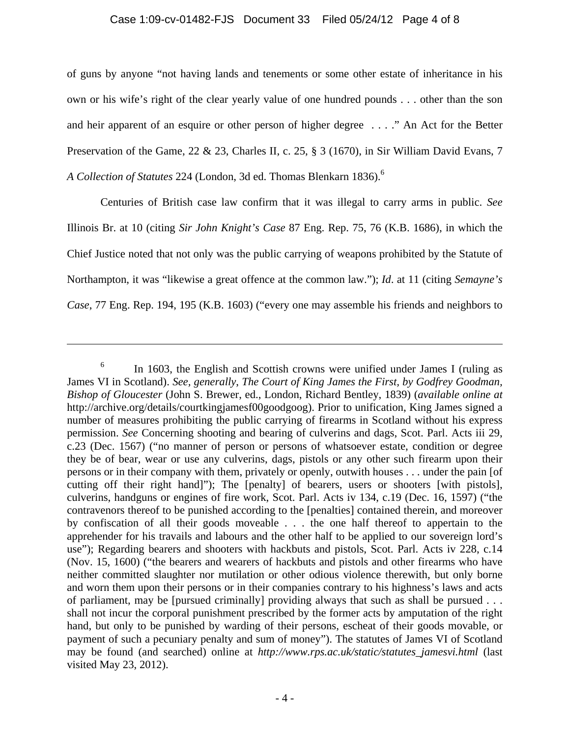### Case 1:09-cv-01482-FJS Document 33 Filed 05/24/12 Page 4 of 8

of guns by anyone "not having lands and tenements or some other estate of inheritance in his own or his wife's right of the clear yearly value of one hundred pounds . . . other than the son and heir apparent of an esquire or other person of higher degree . . . ." An Act for the Better Preservation of the Game, 22 & 23, Charles II, c. 25, § 3 (1670), in Sir William David Evans, 7 *A Collection of Statutes* 224 (London, 3d ed. Thomas Blenkarn 1836).6

Centuries of British case law confirm that it was illegal to carry arms in public. *See*  Illinois Br. at 10 (citing *Sir John Knight's Case* 87 Eng. Rep. 75, 76 (K.B. 1686), in which the Chief Justice noted that not only was the public carrying of weapons prohibited by the Statute of Northampton, it was "likewise a great offence at the common law."); *Id*. at 11 (citing *Semayne's Case*, 77 Eng. Rep. 194, 195 (K.B. 1603) ("every one may assemble his friends and neighbors to

 $\overline{a}$ 

<sup>6</sup> In 1603, the English and Scottish crowns were unified under James I (ruling as James VI in Scotland). *See, generally*, *The Court of King James the First, by Godfrey Goodman, Bishop of Gloucester* (John S. Brewer, ed., London, Richard Bentley, 1839) (*available online at* http://archive.org/details/courtkingjamesf00goodgoog). Prior to unification, King James signed a number of measures prohibiting the public carrying of firearms in Scotland without his express permission. *See* Concerning shooting and bearing of culverins and dags, Scot. Parl. Acts iii 29, c.23 (Dec. 1567) ("no manner of person or persons of whatsoever estate, condition or degree they be of bear, wear or use any culverins, dags, pistols or any other such firearm upon their persons or in their company with them, privately or openly, outwith houses . . . under the pain [of cutting off their right hand]"); The [penalty] of bearers, users or shooters [with pistols], culverins, handguns or engines of fire work, Scot. Parl. Acts iv 134, c.19 (Dec. 16, 1597) ("the contravenors thereof to be punished according to the [penalties] contained therein, and moreover by confiscation of all their goods moveable . . . the one half thereof to appertain to the apprehender for his travails and labours and the other half to be applied to our sovereign lord's use"); Regarding bearers and shooters with hackbuts and pistols, Scot. Parl. Acts iv 228, c.14 (Nov. 15, 1600) ("the bearers and wearers of hackbuts and pistols and other firearms who have neither committed slaughter nor mutilation or other odious violence therewith, but only borne and worn them upon their persons or in their companies contrary to his highness's laws and acts of parliament, may be [pursued criminally] providing always that such as shall be pursued . . . shall not incur the corporal punishment prescribed by the former acts by amputation of the right hand, but only to be punished by warding of their persons, escheat of their goods movable, or payment of such a pecuniary penalty and sum of money"). The statutes of James VI of Scotland may be found (and searched) online at *http://www.rps.ac.uk/static/statutes\_jamesvi.html* (last visited May 23, 2012).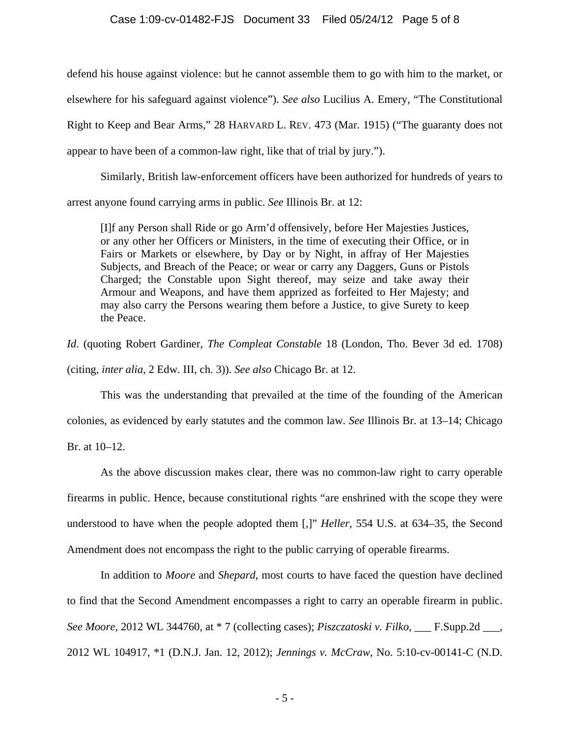## Case 1:09-cv-01482-FJS Document 33 Filed 05/24/12 Page 5 of 8

defend his house against violence: but he cannot assemble them to go with him to the market, or elsewhere for his safeguard against violence"). *See also* Lucilius A. Emery, "The Constitutional Right to Keep and Bear Arms," 28 HARVARD L. REV. 473 (Mar. 1915) ("The guaranty does not appear to have been of a common-law right, like that of trial by jury.").

Similarly, British law-enforcement officers have been authorized for hundreds of years to arrest anyone found carrying arms in public. *See* Illinois Br. at 12:

[I]f any Person shall Ride or go Arm'd offensively, before Her Majesties Justices, or any other her Officers or Ministers, in the time of executing their Office, or in Fairs or Markets or elsewhere, by Day or by Night, in affray of Her Majesties Subjects, and Breach of the Peace; or wear or carry any Daggers, Guns or Pistols Charged; the Constable upon Sight thereof, may seize and take away their Armour and Weapons, and have them apprized as forfeited to Her Majesty; and may also carry the Persons wearing them before a Justice, to give Surety to keep the Peace.

*Id*. (quoting Robert Gardiner, *The Compleat Constable* 18 (London, Tho. Bever 3d ed. 1708) (citing, *inter alia*, 2 Edw. III, ch. 3)). *See also* Chicago Br. at 12.

This was the understanding that prevailed at the time of the founding of the American colonies, as evidenced by early statutes and the common law. *See* Illinois Br. at 13–14; Chicago

Br. at 10–12.

As the above discussion makes clear, there was no common-law right to carry operable firearms in public. Hence, because constitutional rights "are enshrined with the scope they were understood to have when the people adopted them [,]" *Heller*, 554 U.S. at 634–35, the Second Amendment does not encompass the right to the public carrying of operable firearms.

In addition to *Moore* and *Shepard*, most courts to have faced the question have declined to find that the Second Amendment encompasses a right to carry an operable firearm in public. *See Moore*, 2012 WL 344760, at \* 7 (collecting cases); *Piszczatoski v. Filko*, \_\_\_ F.Supp.2d \_\_\_, 2012 WL 104917, \*1 (D.N.J. Jan. 12, 2012); *Jennings v. McCraw*, No. 5:10-cv-00141-C (N.D.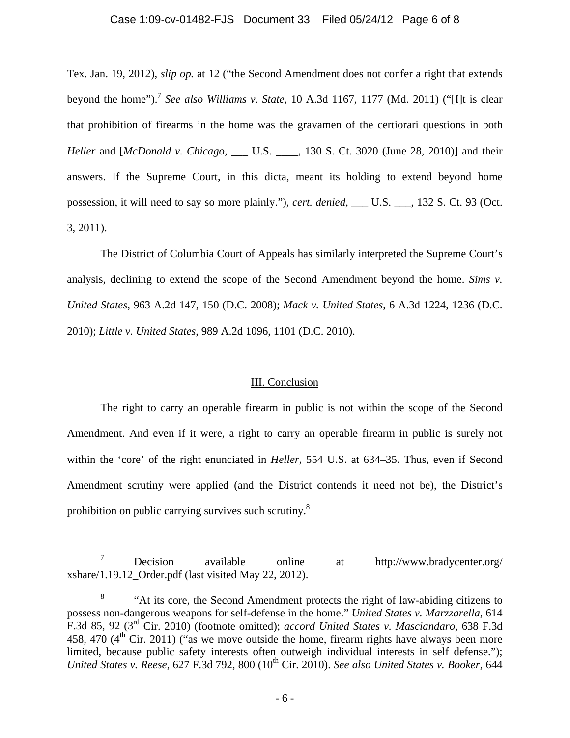#### Case 1:09-cv-01482-FJS Document 33 Filed 05/24/12 Page 6 of 8

Tex. Jan. 19, 2012), *slip op.* at 12 ("the Second Amendment does not confer a right that extends beyond the home").7 *See also Williams v. State*, 10 A.3d 1167, 1177 (Md. 2011) ("[I]t is clear that prohibition of firearms in the home was the gravamen of the certiorari questions in both *Heller* and [*McDonald v. Chicago*, \_\_\_ U.S. \_\_\_\_, 130 S. Ct. 3020 (June 28, 2010)] and their answers. If the Supreme Court, in this dicta, meant its holding to extend beyond home possession, it will need to say so more plainly."), *cert. denied*, \_\_\_ U.S. \_\_\_, 132 S. Ct. 93 (Oct. 3, 2011).

The District of Columbia Court of Appeals has similarly interpreted the Supreme Court's analysis, declining to extend the scope of the Second Amendment beyond the home. *Sims v. United States*, 963 A.2d 147, 150 (D.C. 2008); *Mack v. United States*, 6 A.3d 1224, 1236 (D.C. 2010); *Little v. United States*, 989 A.2d 1096, 1101 (D.C. 2010).

### III. Conclusion

The right to carry an operable firearm in public is not within the scope of the Second Amendment. And even if it were, a right to carry an operable firearm in public is surely not within the 'core' of the right enunciated in *Heller*, 554 U.S. at 634–35. Thus, even if Second Amendment scrutiny were applied (and the District contends it need not be), the District's prohibition on public carrying survives such scrutiny.8

 <sup>7</sup> Decision available online at http://www.bradycenter.org/ xshare/1.19.12\_Order.pdf (last visited May 22, 2012).

<sup>8</sup> "At its core, the Second Amendment protects the right of law-abiding citizens to possess non-dangerous weapons for self-defense in the home." *United States v. Marzzarella*, 614 F.3d 85, 92 (3rd Cir. 2010) (footnote omitted); *accord United States v. Masciandaro*, 638 F.3d 458, 470  $(4<sup>th</sup>$  Cir. 2011) ("as we move outside the home, firearm rights have always been more limited, because public safety interests often outweigh individual interests in self defense."); *United States v. Reese, 627 F.3d 792, 800 (10<sup>th</sup> Cir. 2010). <i>See also United States v. Booker, 644*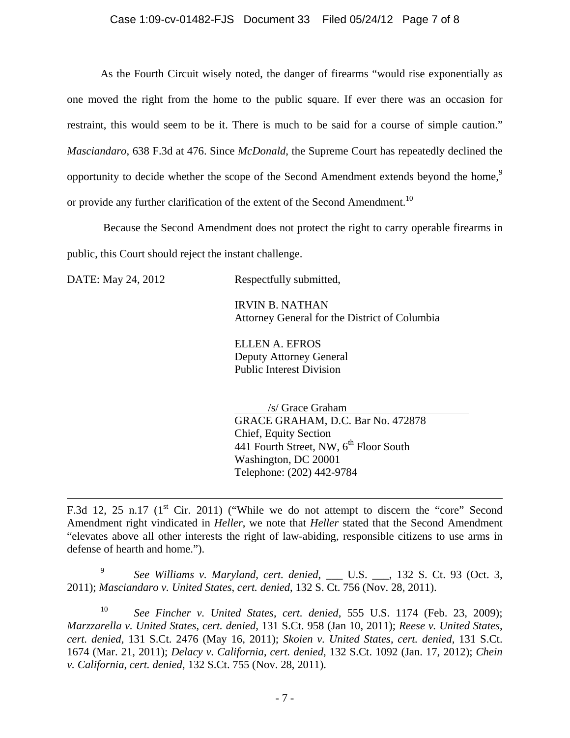As the Fourth Circuit wisely noted, the danger of firearms "would rise exponentially as one moved the right from the home to the public square. If ever there was an occasion for restraint, this would seem to be it. There is much to be said for a course of simple caution." *Masciandaro*, 638 F.3d at 476. Since *McDonald*, the Supreme Court has repeatedly declined the opportunity to decide whether the scope of the Second Amendment extends beyond the home,<sup>9</sup> or provide any further clarification of the extent of the Second Amendment.<sup>10</sup>

 Because the Second Amendment does not protect the right to carry operable firearms in public, this Court should reject the instant challenge.

1

DATE: May 24, 2012 Respectfully submitted,

 IRVIN B. NATHAN Attorney General for the District of Columbia

 ELLEN A. EFROS Deputy Attorney General Public Interest Division

 /s/ Grace Graham GRACE GRAHAM, D.C. Bar No. 472878 Chief, Equity Section 441 Fourth Street, NW, 6<sup>th</sup> Floor South Washington, DC 20001 Telephone: (202) 442-9784

<sup>9</sup> *See Williams v. Maryland*, *cert. denied*, \_\_\_ U.S. \_\_\_, 132 S. Ct. 93 (Oct. 3, 2011); *Masciandaro v. United States*, *cert. denied*, 132 S. Ct. 756 (Nov. 28, 2011).

<sup>10</sup> *See Fincher v. United States*, *cert. denied*, 555 U.S. 1174 (Feb. 23, 2009); *Marzzarella v. United States*, *cert. denied*, 131 S.Ct. 958 (Jan 10, 2011); *Reese v. United States*, *cert. denied*, 131 S.Ct. 2476 (May 16, 2011); *Skoien v. United States*, *cert. denied*, 131 S.Ct. 1674 (Mar. 21, 2011); *Delacy v. California*, *cert. denied*, 132 S.Ct. 1092 (Jan. 17, 2012); *Chein v. California*, *cert. denied*, 132 S.Ct. 755 (Nov. 28, 2011).

F.3d 12, 25 n.17 ( $1<sup>st</sup>$  Cir. 2011) ("While we do not attempt to discern the "core" Second Amendment right vindicated in *Heller*, we note that *Heller* stated that the Second Amendment "elevates above all other interests the right of law-abiding, responsible citizens to use arms in defense of hearth and home.").